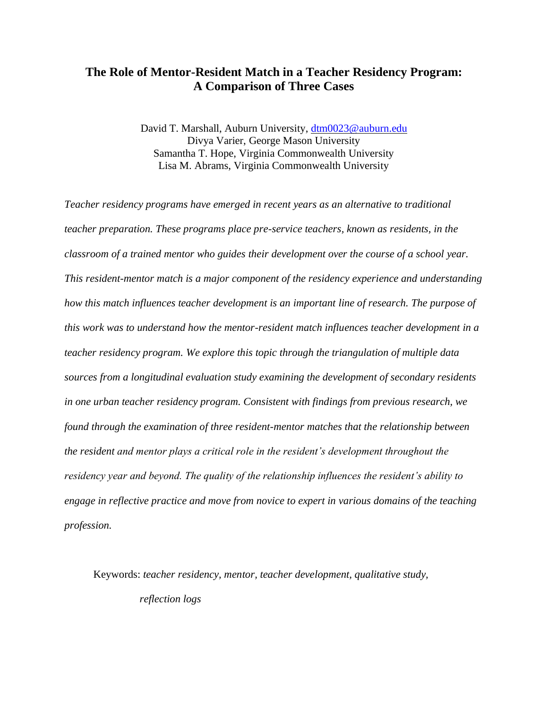# **The Role of Mentor-Resident Match in a Teacher Residency Program: A Comparison of Three Cases**

David T. Marshall, Auburn University, [dtm0023@auburn.edu](mailto:dtm0023@auburn.edu) Divya Varier, George Mason University Samantha T. Hope, Virginia Commonwealth University Lisa M. Abrams, Virginia Commonwealth University

*Teacher residency programs have emerged in recent years as an alternative to traditional teacher preparation. These programs place pre-service teachers, known as residents, in the classroom of a trained mentor who guides their development over the course of a school year. This resident-mentor match is a major component of the residency experience and understanding how this match influences teacher development is an important line of research. The purpose of this work was to understand how the mentor-resident match influences teacher development in a teacher residency program. We explore this topic through the triangulation of multiple data sources from a longitudinal evaluation study examining the development of secondary residents in one urban teacher residency program. Consistent with findings from previous research, we found through the examination of three resident-mentor matches that the relationship between the resident and mentor plays a critical role in the resident's development throughout the residency year and beyond. The quality of the relationship influences the resident's ability to engage in reflective practice and move from novice to expert in various domains of the teaching profession.*

Keywords: *teacher residency, mentor, teacher development, qualitative study, reflection logs*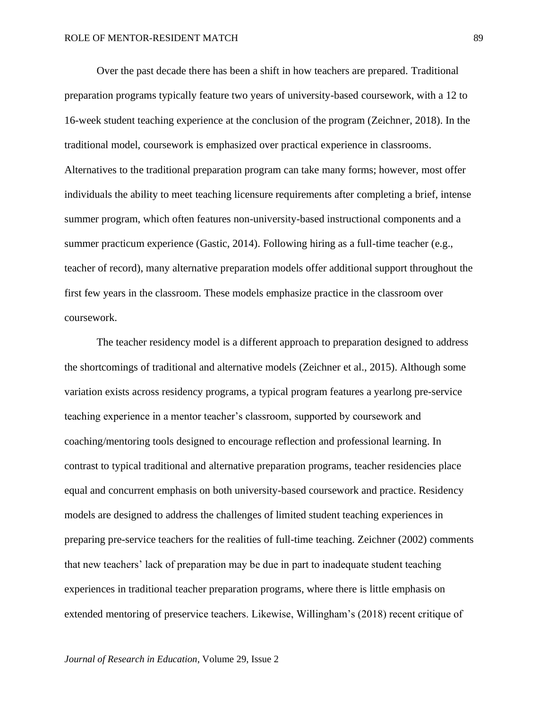Over the past decade there has been a shift in how teachers are prepared. Traditional preparation programs typically feature two years of university-based coursework, with a 12 to 16-week student teaching experience at the conclusion of the program (Zeichner, 2018). In the traditional model, coursework is emphasized over practical experience in classrooms. Alternatives to the traditional preparation program can take many forms; however, most offer individuals the ability to meet teaching licensure requirements after completing a brief, intense summer program, which often features non-university-based instructional components and a summer practicum experience (Gastic, 2014). Following hiring as a full-time teacher (e.g., teacher of record), many alternative preparation models offer additional support throughout the first few years in the classroom. These models emphasize practice in the classroom over coursework.

The teacher residency model is a different approach to preparation designed to address the shortcomings of traditional and alternative models (Zeichner et al., 2015). Although some variation exists across residency programs, a typical program features a yearlong pre-service teaching experience in a mentor teacher's classroom, supported by coursework and coaching/mentoring tools designed to encourage reflection and professional learning. In contrast to typical traditional and alternative preparation programs, teacher residencies place equal and concurrent emphasis on both university-based coursework and practice. Residency models are designed to address the challenges of limited student teaching experiences in preparing pre-service teachers for the realities of full-time teaching. Zeichner (2002) comments that new teachers' lack of preparation may be due in part to inadequate student teaching experiences in traditional teacher preparation programs, where there is little emphasis on extended mentoring of preservice teachers. Likewise, Willingham's (2018) recent critique of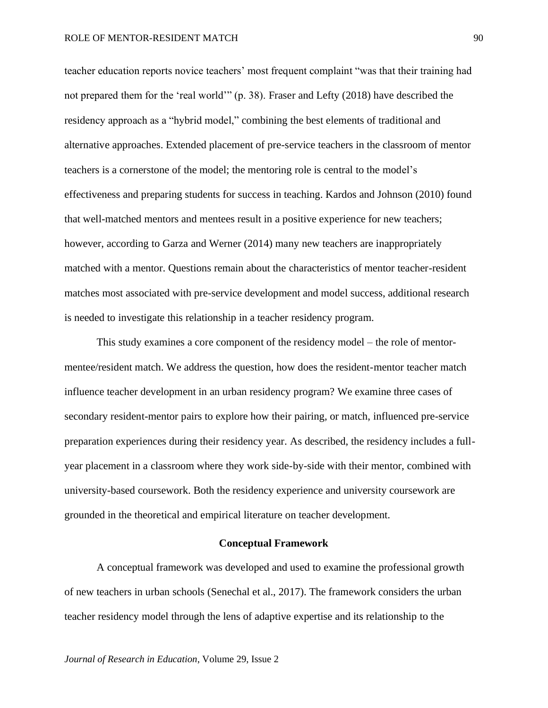teacher education reports novice teachers' most frequent complaint "was that their training had not prepared them for the 'real world'" (p. 38). Fraser and Lefty (2018) have described the residency approach as a "hybrid model," combining the best elements of traditional and alternative approaches. Extended placement of pre-service teachers in the classroom of mentor teachers is a cornerstone of the model; the mentoring role is central to the model's effectiveness and preparing students for success in teaching. Kardos and Johnson (2010) found that well-matched mentors and mentees result in a positive experience for new teachers; however, according to Garza and Werner (2014) many new teachers are inappropriately matched with a mentor. Questions remain about the characteristics of mentor teacher-resident matches most associated with pre-service development and model success, additional research is needed to investigate this relationship in a teacher residency program.

This study examines a core component of the residency model – the role of mentormentee/resident match. We address the question, how does the resident-mentor teacher match influence teacher development in an urban residency program? We examine three cases of secondary resident-mentor pairs to explore how their pairing, or match, influenced pre-service preparation experiences during their residency year. As described, the residency includes a fullyear placement in a classroom where they work side-by-side with their mentor, combined with university-based coursework. Both the residency experience and university coursework are grounded in the theoretical and empirical literature on teacher development.

### **Conceptual Framework**

A conceptual framework was developed and used to examine the professional growth of new teachers in urban schools (Senechal et al., 2017). The framework considers the urban teacher residency model through the lens of adaptive expertise and its relationship to the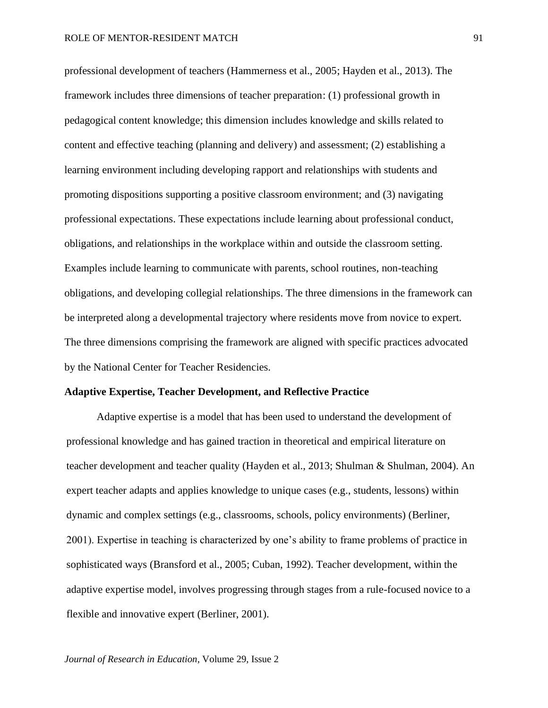professional development of teachers (Hammerness et al., 2005; Hayden et al., 2013). The framework includes three dimensions of teacher preparation: (1) professional growth in pedagogical content knowledge; this dimension includes knowledge and skills related to content and effective teaching (planning and delivery) and assessment; (2) establishing a learning environment including developing rapport and relationships with students and promoting dispositions supporting a positive classroom environment; and (3) navigating professional expectations. These expectations include learning about professional conduct, obligations, and relationships in the workplace within and outside the classroom setting. Examples include learning to communicate with parents, school routines, non-teaching obligations, and developing collegial relationships. The three dimensions in the framework can be interpreted along a developmental trajectory where residents move from novice to expert. The three dimensions comprising the framework are aligned with specific practices advocated by the National Center for Teacher Residencies.

### **Adaptive Expertise, Teacher Development, and Reflective Practice**

Adaptive expertise is a model that has been used to understand the development of professional knowledge and has gained traction in theoretical and empirical literature on teacher development and teacher quality (Hayden et al., 2013; Shulman & Shulman, 2004). An expert teacher adapts and applies knowledge to unique cases (e.g., students, lessons) within dynamic and complex settings (e.g., classrooms, schools, policy environments) (Berliner, 2001). Expertise in teaching is characterized by one's ability to frame problems of practice in sophisticated ways (Bransford et al., 2005; Cuban, 1992). Teacher development, within the adaptive expertise model, involves progressing through stages from a rule-focused novice to a flexible and innovative expert (Berliner, 2001).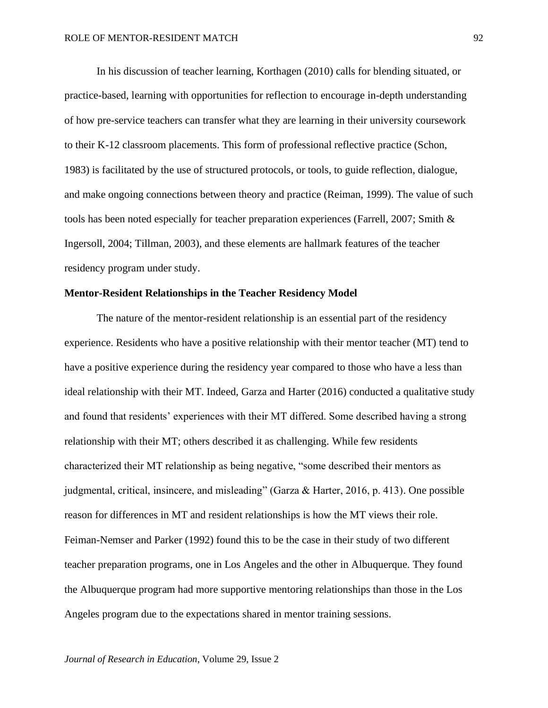In his discussion of teacher learning, Korthagen (2010) calls for blending situated, or practice-based, learning with opportunities for reflection to encourage in-depth understanding of how pre-service teachers can transfer what they are learning in their university coursework to their K-12 classroom placements. This form of professional reflective practice (Schon, 1983) is facilitated by the use of structured protocols, or tools, to guide reflection, dialogue, and make ongoing connections between theory and practice (Reiman, 1999). The value of such tools has been noted especially for teacher preparation experiences (Farrell, 2007; Smith & Ingersoll, 2004; Tillman, 2003), and these elements are hallmark features of the teacher residency program under study.

## **Mentor-Resident Relationships in the Teacher Residency Model**

The nature of the mentor-resident relationship is an essential part of the residency experience. Residents who have a positive relationship with their mentor teacher (MT) tend to have a positive experience during the residency year compared to those who have a less than ideal relationship with their MT. Indeed, Garza and Harter (2016) conducted a qualitative study and found that residents' experiences with their MT differed. Some described having a strong relationship with their MT; others described it as challenging. While few residents characterized their MT relationship as being negative, "some described their mentors as judgmental, critical, insincere, and misleading" (Garza & Harter, 2016, p. 413). One possible reason for differences in MT and resident relationships is how the MT views their role. Feiman-Nemser and Parker (1992) found this to be the case in their study of two different teacher preparation programs, one in Los Angeles and the other in Albuquerque. They found the Albuquerque program had more supportive mentoring relationships than those in the Los Angeles program due to the expectations shared in mentor training sessions.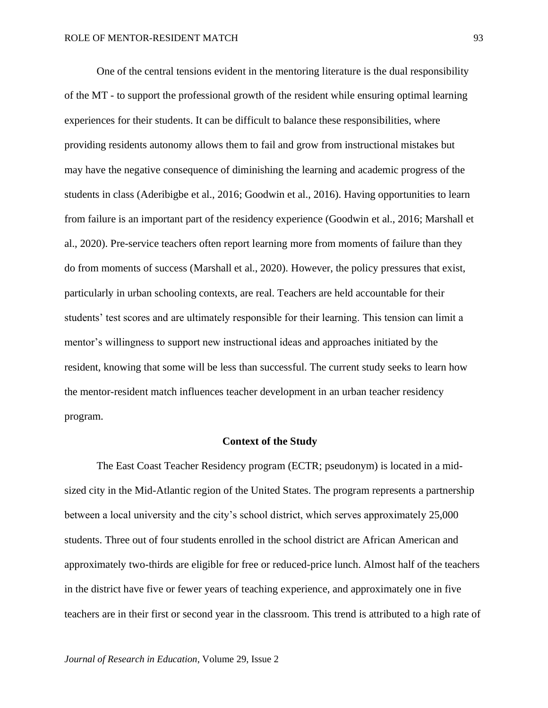One of the central tensions evident in the mentoring literature is the dual responsibility of the MT - to support the professional growth of the resident while ensuring optimal learning experiences for their students. It can be difficult to balance these responsibilities, where providing residents autonomy allows them to fail and grow from instructional mistakes but may have the negative consequence of diminishing the learning and academic progress of the students in class (Aderibigbe et al., 2016; Goodwin et al., 2016). Having opportunities to learn from failure is an important part of the residency experience (Goodwin et al., 2016; Marshall et al., 2020). Pre-service teachers often report learning more from moments of failure than they do from moments of success (Marshall et al., 2020). However, the policy pressures that exist, particularly in urban schooling contexts, are real. Teachers are held accountable for their students' test scores and are ultimately responsible for their learning. This tension can limit a mentor's willingness to support new instructional ideas and approaches initiated by the resident, knowing that some will be less than successful. The current study seeks to learn how the mentor-resident match influences teacher development in an urban teacher residency program.

#### **Context of the Study**

The East Coast Teacher Residency program (ECTR; pseudonym) is located in a midsized city in the Mid-Atlantic region of the United States. The program represents a partnership between a local university and the city's school district, which serves approximately 25,000 students. Three out of four students enrolled in the school district are African American and approximately two-thirds are eligible for free or reduced-price lunch. Almost half of the teachers in the district have five or fewer years of teaching experience, and approximately one in five teachers are in their first or second year in the classroom. This trend is attributed to a high rate of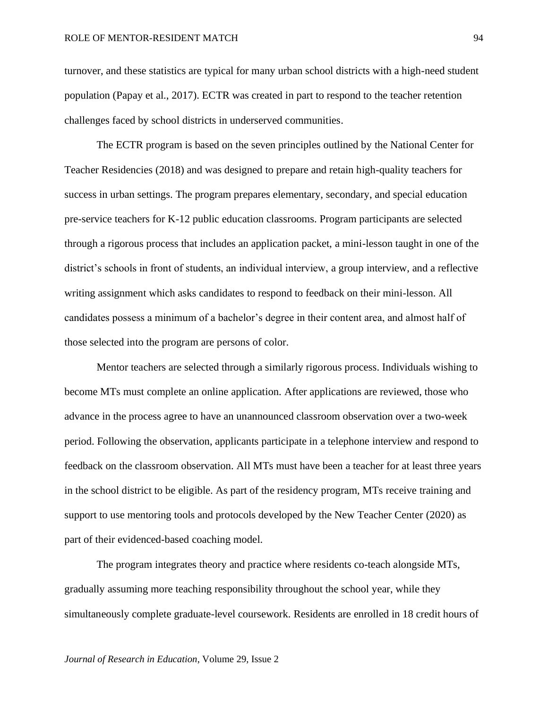turnover, and these statistics are typical for many urban school districts with a high-need student population (Papay et al., 2017). ECTR was created in part to respond to the teacher retention challenges faced by school districts in underserved communities.

The ECTR program is based on the seven principles outlined by the National Center for Teacher Residencies (2018) and was designed to prepare and retain high-quality teachers for success in urban settings. The program prepares elementary, secondary, and special education pre-service teachers for K-12 public education classrooms. Program participants are selected through a rigorous process that includes an application packet, a mini-lesson taught in one of the district's schools in front of students, an individual interview, a group interview, and a reflective writing assignment which asks candidates to respond to feedback on their mini-lesson. All candidates possess a minimum of a bachelor's degree in their content area, and almost half of those selected into the program are persons of color.

Mentor teachers are selected through a similarly rigorous process. Individuals wishing to become MTs must complete an online application. After applications are reviewed, those who advance in the process agree to have an unannounced classroom observation over a two-week period. Following the observation, applicants participate in a telephone interview and respond to feedback on the classroom observation. All MTs must have been a teacher for at least three years in the school district to be eligible. As part of the residency program, MTs receive training and support to use mentoring tools and protocols developed by the New Teacher Center (2020) as part of their evidenced-based coaching model.

The program integrates theory and practice where residents co-teach alongside MTs, gradually assuming more teaching responsibility throughout the school year, while they simultaneously complete graduate-level coursework. Residents are enrolled in 18 credit hours of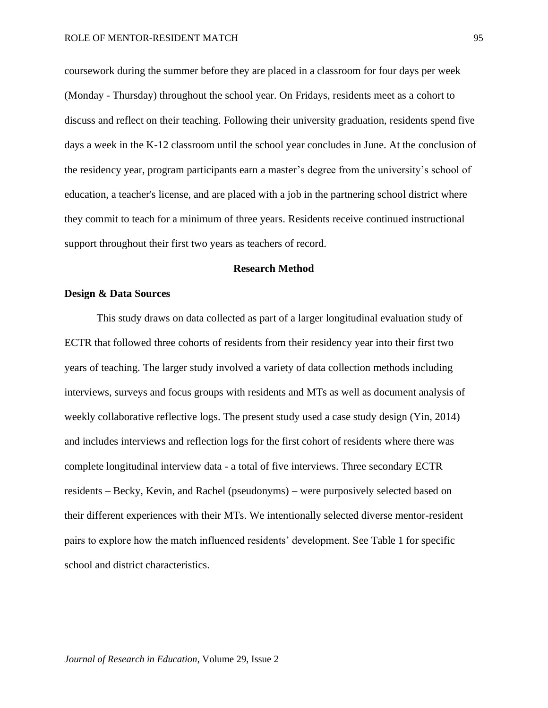coursework during the summer before they are placed in a classroom for four days per week (Monday - Thursday) throughout the school year. On Fridays, residents meet as a cohort to discuss and reflect on their teaching. Following their university graduation, residents spend five days a week in the K-12 classroom until the school year concludes in June. At the conclusion of the residency year, program participants earn a master's degree from the university's school of education, a teacher's license, and are placed with a job in the partnering school district where they commit to teach for a minimum of three years. Residents receive continued instructional support throughout their first two years as teachers of record.

### **Research Method**

### **Design & Data Sources**

This study draws on data collected as part of a larger longitudinal evaluation study of ECTR that followed three cohorts of residents from their residency year into their first two years of teaching. The larger study involved a variety of data collection methods including interviews, surveys and focus groups with residents and MTs as well as document analysis of weekly collaborative reflective logs. The present study used a case study design (Yin, 2014) and includes interviews and reflection logs for the first cohort of residents where there was complete longitudinal interview data - a total of five interviews. Three secondary ECTR residents – Becky, Kevin, and Rachel (pseudonyms) – were purposively selected based on their different experiences with their MTs. We intentionally selected diverse mentor-resident pairs to explore how the match influenced residents' development. See Table 1 for specific school and district characteristics.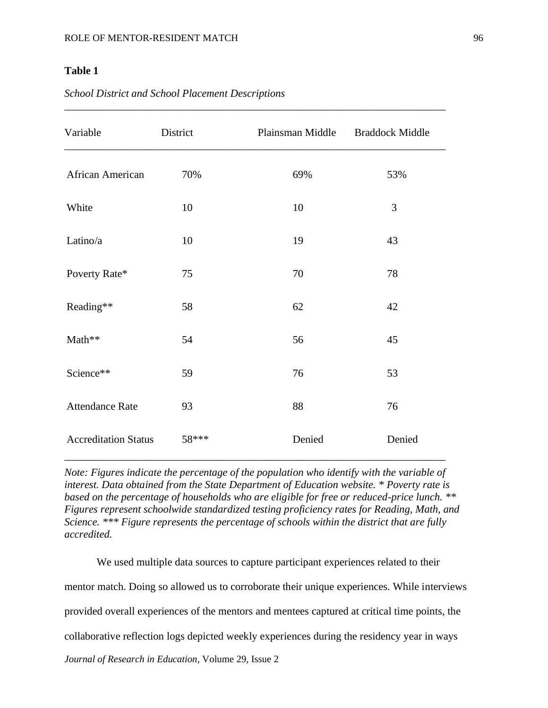## **Table 1**

| Variable                    | District | Plainsman Middle | <b>Braddock Middle</b> |
|-----------------------------|----------|------------------|------------------------|
| African American            | 70%      | 69%              | 53%                    |
| White                       | 10       | 10               | 3                      |
| Latino/a                    | 10       | 19               | 43                     |
| Poverty Rate*               | 75       | 70               | 78                     |
| Reading**                   | 58       | 62               | 42                     |
| Math**                      | 54       | 56               | 45                     |
| Science**                   | 59       | 76               | 53                     |
| <b>Attendance Rate</b>      | 93       | 88               | 76                     |
| <b>Accreditation Status</b> | 58***    | Denied           | Denied                 |

*\_\_\_\_\_\_\_\_\_\_\_\_\_\_\_\_\_\_\_\_\_\_\_\_\_\_\_\_\_\_\_\_\_\_\_\_\_\_\_\_\_\_\_\_\_\_\_\_\_\_\_\_\_\_\_\_\_\_\_\_\_\_\_\_\_\_\_\_\_\_\_*

## *School District and School Placement Descriptions*

*Note: Figures indicate the percentage of the population who identify with the variable of interest. Data obtained from the State Department of Education website. \* Poverty rate is based on the percentage of households who are eligible for free or reduced-price lunch. \*\* Figures represent schoolwide standardized testing proficiency rates for Reading, Math, and Science. \*\*\* Figure represents the percentage of schools within the district that are fully accredited.*

\_\_\_\_\_\_\_\_\_\_\_\_\_\_\_\_\_\_\_\_\_\_\_\_\_\_\_\_\_\_\_\_\_\_\_\_\_\_\_\_\_\_\_\_\_\_\_\_\_\_\_\_\_\_\_\_\_\_\_\_\_\_\_\_\_\_\_\_\_\_\_

*Journal of Research in Education*, Volume 29, Issue 2 We used multiple data sources to capture participant experiences related to their mentor match. Doing so allowed us to corroborate their unique experiences. While interviews provided overall experiences of the mentors and mentees captured at critical time points, the collaborative reflection logs depicted weekly experiences during the residency year in ways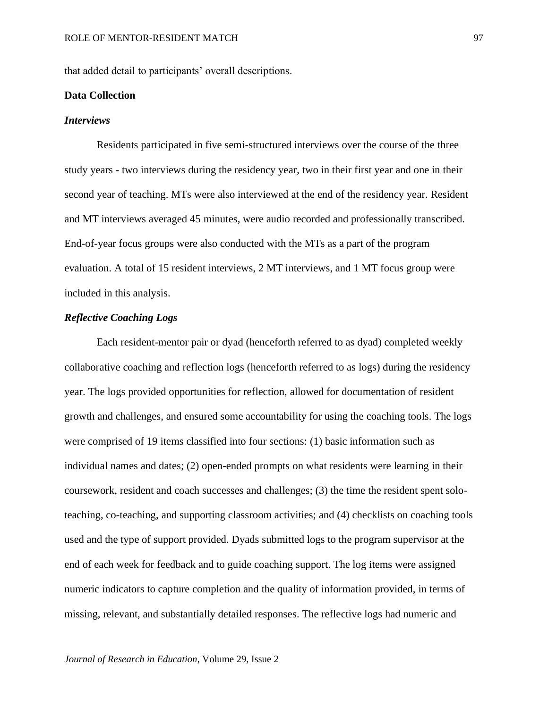that added detail to participants' overall descriptions.

### **Data Collection**

#### *Interviews*

Residents participated in five semi-structured interviews over the course of the three study years - two interviews during the residency year, two in their first year and one in their second year of teaching. MTs were also interviewed at the end of the residency year. Resident and MT interviews averaged 45 minutes, were audio recorded and professionally transcribed. End-of-year focus groups were also conducted with the MTs as a part of the program evaluation. A total of 15 resident interviews, 2 MT interviews, and 1 MT focus group were included in this analysis.

### *Reflective Coaching Logs*

Each resident-mentor pair or dyad (henceforth referred to as dyad) completed weekly collaborative coaching and reflection logs (henceforth referred to as logs) during the residency year. The logs provided opportunities for reflection, allowed for documentation of resident growth and challenges, and ensured some accountability for using the coaching tools. The logs were comprised of 19 items classified into four sections: (1) basic information such as individual names and dates; (2) open-ended prompts on what residents were learning in their coursework, resident and coach successes and challenges; (3) the time the resident spent soloteaching, co-teaching, and supporting classroom activities; and (4) checklists on coaching tools used and the type of support provided. Dyads submitted logs to the program supervisor at the end of each week for feedback and to guide coaching support. The log items were assigned numeric indicators to capture completion and the quality of information provided, in terms of missing, relevant, and substantially detailed responses. The reflective logs had numeric and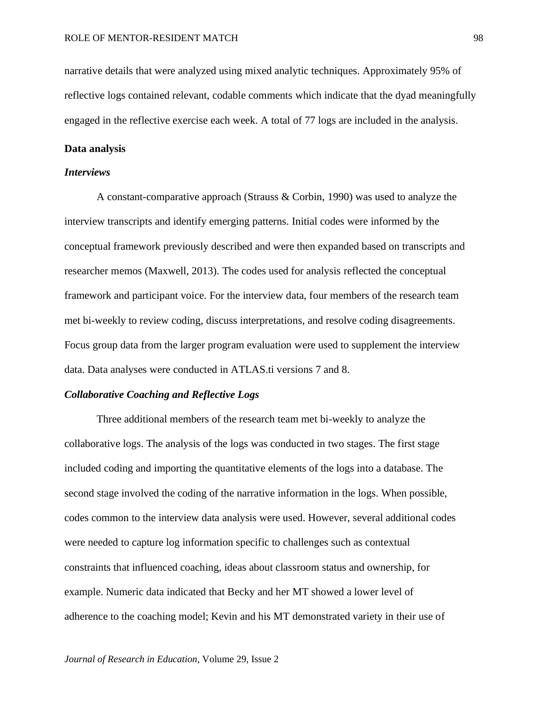narrative details that were analyzed using mixed analytic techniques. Approximately 95% of reflective logs contained relevant, codable comments which indicate that the dyad meaningfully engaged in the reflective exercise each week. A total of 77 logs are included in the analysis.

### **Data analysis**

## *Interviews*

A constant-comparative approach (Strauss & Corbin, 1990) was used to analyze the interview transcripts and identify emerging patterns. Initial codes were informed by the conceptual framework previously described and were then expanded based on transcripts and researcher memos (Maxwell, 2013). The codes used for analysis reflected the conceptual framework and participant voice. For the interview data, four members of the research team met bi-weekly to review coding, discuss interpretations, and resolve coding disagreements. Focus group data from the larger program evaluation were used to supplement the interview data. Data analyses were conducted in ATLAS.ti versions 7 and 8.

## *Collaborative Coaching and Reflective Logs*

Three additional members of the research team met bi-weekly to analyze the collaborative logs. The analysis of the logs was conducted in two stages. The first stage included coding and importing the quantitative elements of the logs into a database. The second stage involved the coding of the narrative information in the logs. When possible, codes common to the interview data analysis were used. However, several additional codes were needed to capture log information specific to challenges such as contextual constraints that influenced coaching, ideas about classroom status and ownership, for example. Numeric data indicated that Becky and her MT showed a lower level of adherence to the coaching model; Kevin and his MT demonstrated variety in their use of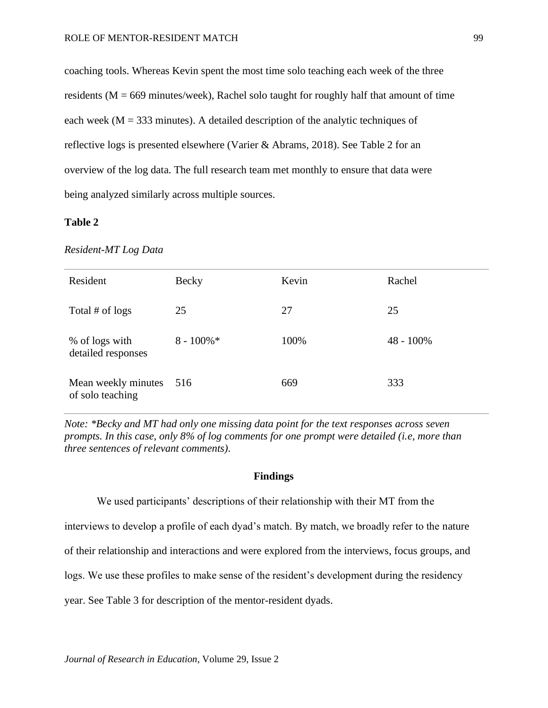coaching tools. Whereas Kevin spent the most time solo teaching each week of the three residents ( $M = 669$  minutes/week), Rachel solo taught for roughly half that amount of time each week ( $M = 333$  minutes). A detailed description of the analytic techniques of reflective logs is presented elsewhere (Varier & Abrams, 2018). See Table 2 for an overview of the log data. The full research team met monthly to ensure that data were being analyzed similarly across multiple sources.

## **Table 2**

#### *Resident-MT Log Data*

| Resident                                | <b>Becky</b>  | Kevin | Rachel    |
|-----------------------------------------|---------------|-------|-----------|
| Total # of logs                         | 25            | 27    | 25        |
| % of logs with<br>detailed responses    | $8 - 100\%$ * | 100%  | 48 - 100% |
| Mean weekly minutes<br>of solo teaching | 516           | 669   | 333       |

*Note: \*Becky and MT had only one missing data point for the text responses across seven prompts. In this case, only 8% of log comments for one prompt were detailed (i.e, more than three sentences of relevant comments).*

## **Findings**

We used participants' descriptions of their relationship with their MT from the

interviews to develop a profile of each dyad's match. By match, we broadly refer to the nature

of their relationship and interactions and were explored from the interviews, focus groups, and

logs. We use these profiles to make sense of the resident's development during the residency

year. See Table 3 for description of the mentor-resident dyads.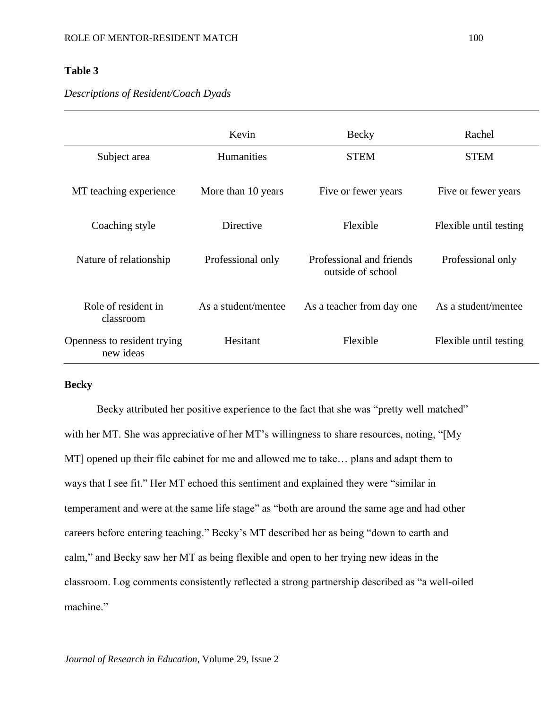## **Table 3**

## *Descriptions of Resident/Coach Dyads*

|                                          | Kevin               | Becky                                         | Rachel                 |
|------------------------------------------|---------------------|-----------------------------------------------|------------------------|
| Subject area                             | <b>Humanities</b>   | <b>STEM</b>                                   | <b>STEM</b>            |
| MT teaching experience                   | More than 10 years  | Five or fewer years                           | Five or fewer years    |
| Coaching style                           | Directive           | Flexible                                      | Flexible until testing |
| Nature of relationship                   | Professional only   | Professional and friends<br>outside of school | Professional only      |
| Role of resident in<br>classroom         | As a student/mentee | As a teacher from day one                     | As a student/mentee    |
| Openness to resident trying<br>new ideas | Hesitant            | Flexible                                      | Flexible until testing |

## **Becky**

Becky attributed her positive experience to the fact that she was "pretty well matched" with her MT. She was appreciative of her MT's willingness to share resources, noting, "[My MT] opened up their file cabinet for me and allowed me to take… plans and adapt them to ways that I see fit." Her MT echoed this sentiment and explained they were "similar in temperament and were at the same life stage" as "both are around the same age and had other careers before entering teaching." Becky's MT described her as being "down to earth and calm," and Becky saw her MT as being flexible and open to her trying new ideas in the classroom. Log comments consistently reflected a strong partnership described as "a well-oiled machine."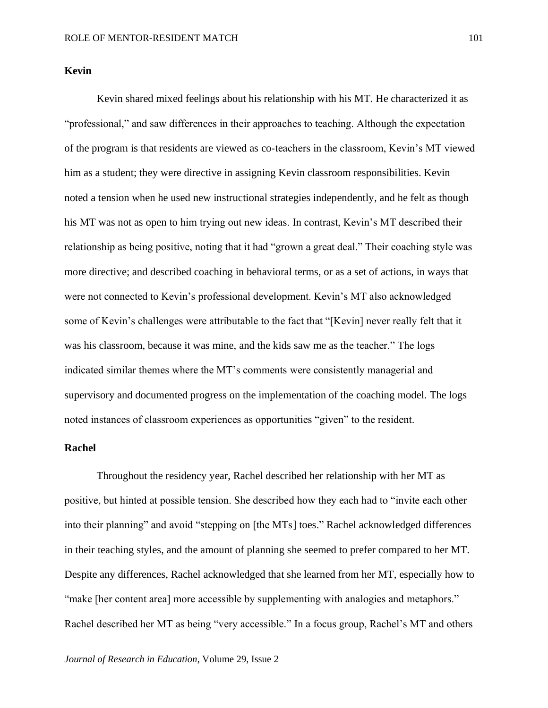Kevin shared mixed feelings about his relationship with his MT. He characterized it as "professional," and saw differences in their approaches to teaching. Although the expectation of the program is that residents are viewed as co-teachers in the classroom, Kevin's MT viewed him as a student; they were directive in assigning Kevin classroom responsibilities. Kevin noted a tension when he used new instructional strategies independently, and he felt as though his MT was not as open to him trying out new ideas. In contrast, Kevin's MT described their relationship as being positive, noting that it had "grown a great deal." Their coaching style was more directive; and described coaching in behavioral terms, or as a set of actions, in ways that were not connected to Kevin's professional development. Kevin's MT also acknowledged some of Kevin's challenges were attributable to the fact that "[Kevin] never really felt that it was his classroom, because it was mine, and the kids saw me as the teacher." The logs indicated similar themes where the MT's comments were consistently managerial and supervisory and documented progress on the implementation of the coaching model. The logs noted instances of classroom experiences as opportunities "given" to the resident.

## **Rachel**

Throughout the residency year, Rachel described her relationship with her MT as positive, but hinted at possible tension. She described how they each had to "invite each other into their planning" and avoid "stepping on [the MTs] toes." Rachel acknowledged differences in their teaching styles, and the amount of planning she seemed to prefer compared to her MT. Despite any differences, Rachel acknowledged that she learned from her MT, especially how to "make [her content area] more accessible by supplementing with analogies and metaphors." Rachel described her MT as being "very accessible." In a focus group, Rachel's MT and others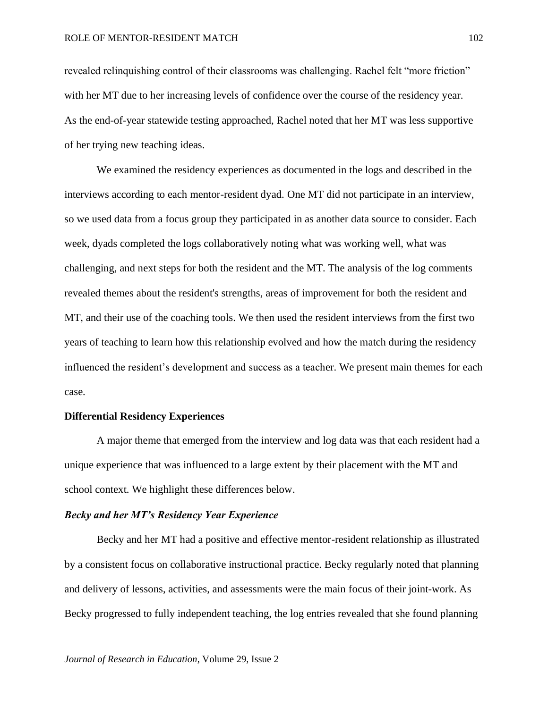revealed relinquishing control of their classrooms was challenging. Rachel felt "more friction" with her MT due to her increasing levels of confidence over the course of the residency year. As the end-of-year statewide testing approached, Rachel noted that her MT was less supportive of her trying new teaching ideas.

We examined the residency experiences as documented in the logs and described in the interviews according to each mentor-resident dyad. One MT did not participate in an interview, so we used data from a focus group they participated in as another data source to consider. Each week, dyads completed the logs collaboratively noting what was working well, what was challenging, and next steps for both the resident and the MT. The analysis of the log comments revealed themes about the resident's strengths, areas of improvement for both the resident and MT, and their use of the coaching tools. We then used the resident interviews from the first two years of teaching to learn how this relationship evolved and how the match during the residency influenced the resident's development and success as a teacher. We present main themes for each case.

### **Differential Residency Experiences**

A major theme that emerged from the interview and log data was that each resident had a unique experience that was influenced to a large extent by their placement with the MT and school context. We highlight these differences below.

#### *Becky and her MT's Residency Year Experience*

Becky and her MT had a positive and effective mentor-resident relationship as illustrated by a consistent focus on collaborative instructional practice. Becky regularly noted that planning and delivery of lessons, activities, and assessments were the main focus of their joint-work. As Becky progressed to fully independent teaching, the log entries revealed that she found planning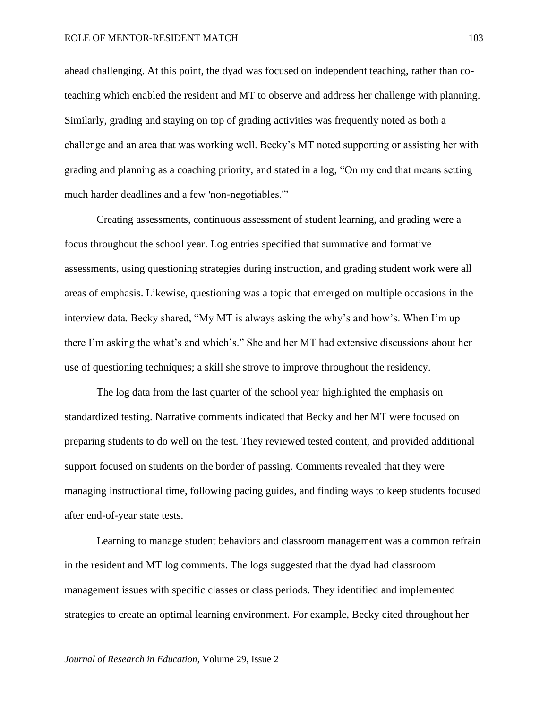ahead challenging. At this point, the dyad was focused on independent teaching, rather than coteaching which enabled the resident and MT to observe and address her challenge with planning. Similarly, grading and staying on top of grading activities was frequently noted as both a challenge and an area that was working well. Becky's MT noted supporting or assisting her with grading and planning as a coaching priority, and stated in a log, "On my end that means setting much harder deadlines and a few 'non-negotiables.'"

Creating assessments, continuous assessment of student learning, and grading were a focus throughout the school year. Log entries specified that summative and formative assessments, using questioning strategies during instruction, and grading student work were all areas of emphasis. Likewise, questioning was a topic that emerged on multiple occasions in the interview data. Becky shared, "My MT is always asking the why's and how's. When I'm up there I'm asking the what's and which's." She and her MT had extensive discussions about her use of questioning techniques; a skill she strove to improve throughout the residency.

The log data from the last quarter of the school year highlighted the emphasis on standardized testing. Narrative comments indicated that Becky and her MT were focused on preparing students to do well on the test. They reviewed tested content, and provided additional support focused on students on the border of passing. Comments revealed that they were managing instructional time, following pacing guides, and finding ways to keep students focused after end-of-year state tests.

Learning to manage student behaviors and classroom management was a common refrain in the resident and MT log comments. The logs suggested that the dyad had classroom management issues with specific classes or class periods. They identified and implemented strategies to create an optimal learning environment. For example, Becky cited throughout her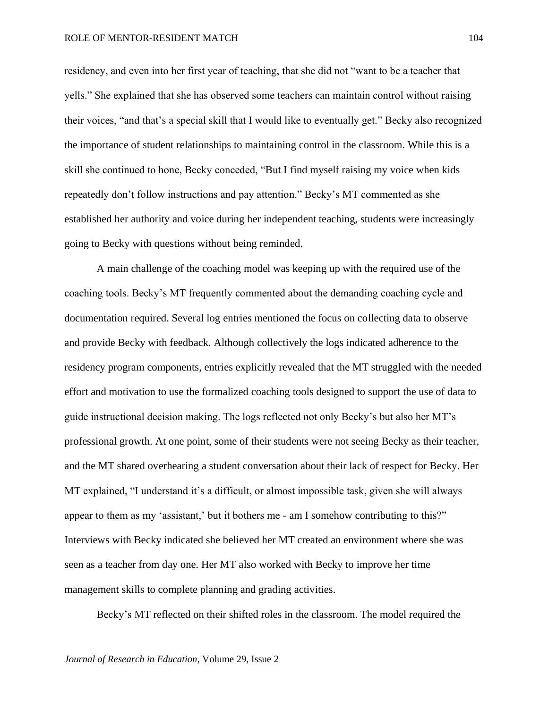residency, and even into her first year of teaching, that she did not "want to be a teacher that yells." She explained that she has observed some teachers can maintain control without raising their voices, "and that's a special skill that I would like to eventually get." Becky also recognized the importance of student relationships to maintaining control in the classroom. While this is a skill she continued to hone, Becky conceded, "But I find myself raising my voice when kids repeatedly don't follow instructions and pay attention." Becky's MT commented as she established her authority and voice during her independent teaching, students were increasingly going to Becky with questions without being reminded.

A main challenge of the coaching model was keeping up with the required use of the coaching tools. Becky's MT frequently commented about the demanding coaching cycle and documentation required. Several log entries mentioned the focus on collecting data to observe and provide Becky with feedback. Although collectively the logs indicated adherence to the residency program components, entries explicitly revealed that the MT struggled with the needed effort and motivation to use the formalized coaching tools designed to support the use of data to guide instructional decision making. The logs reflected not only Becky's but also her MT's professional growth. At one point, some of their students were not seeing Becky as their teacher, and the MT shared overhearing a student conversation about their lack of respect for Becky. Her MT explained, "I understand it's a difficult, or almost impossible task, given she will always appear to them as my 'assistant,' but it bothers me - am I somehow contributing to this?" Interviews with Becky indicated she believed her MT created an environment where she was seen as a teacher from day one. Her MT also worked with Becky to improve her time management skills to complete planning and grading activities.

Becky's MT reflected on their shifted roles in the classroom. The model required the

*Journal of Research in Education*, Volume 29, Issue 2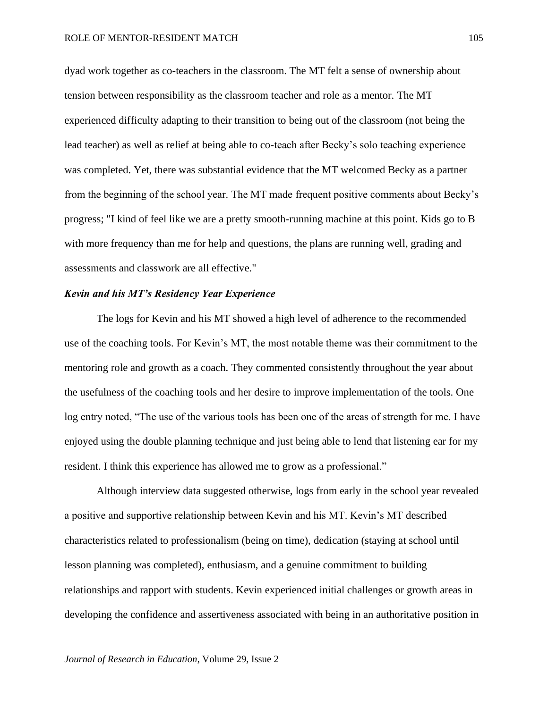dyad work together as co-teachers in the classroom. The MT felt a sense of ownership about tension between responsibility as the classroom teacher and role as a mentor. The MT experienced difficulty adapting to their transition to being out of the classroom (not being the lead teacher) as well as relief at being able to co-teach after Becky's solo teaching experience was completed. Yet, there was substantial evidence that the MT welcomed Becky as a partner from the beginning of the school year. The MT made frequent positive comments about Becky's progress; "I kind of feel like we are a pretty smooth-running machine at this point. Kids go to B with more frequency than me for help and questions, the plans are running well, grading and assessments and classwork are all effective."

## *Kevin and his MT's Residency Year Experience*

The logs for Kevin and his MT showed a high level of adherence to the recommended use of the coaching tools. For Kevin's MT, the most notable theme was their commitment to the mentoring role and growth as a coach. They commented consistently throughout the year about the usefulness of the coaching tools and her desire to improve implementation of the tools. One log entry noted, "The use of the various tools has been one of the areas of strength for me. I have enjoyed using the double planning technique and just being able to lend that listening ear for my resident. I think this experience has allowed me to grow as a professional."

Although interview data suggested otherwise, logs from early in the school year revealed a positive and supportive relationship between Kevin and his MT. Kevin's MT described characteristics related to professionalism (being on time), dedication (staying at school until lesson planning was completed), enthusiasm, and a genuine commitment to building relationships and rapport with students. Kevin experienced initial challenges or growth areas in developing the confidence and assertiveness associated with being in an authoritative position in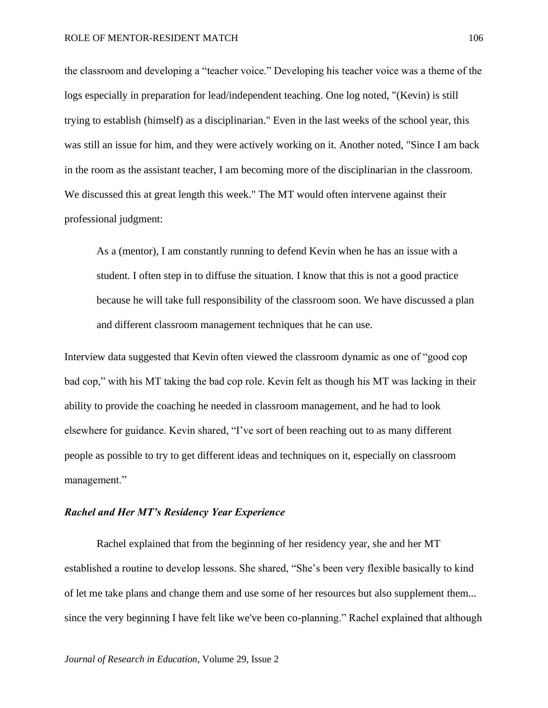the classroom and developing a "teacher voice." Developing his teacher voice was a theme of the logs especially in preparation for lead/independent teaching. One log noted, "(Kevin) is still trying to establish (himself) as a disciplinarian." Even in the last weeks of the school year, this was still an issue for him, and they were actively working on it. Another noted, "Since I am back in the room as the assistant teacher, I am becoming more of the disciplinarian in the classroom. We discussed this at great length this week." The MT would often intervene against their professional judgment:

As a (mentor), I am constantly running to defend Kevin when he has an issue with a student. I often step in to diffuse the situation. I know that this is not a good practice because he will take full responsibility of the classroom soon. We have discussed a plan and different classroom management techniques that he can use*.*

Interview data suggested that Kevin often viewed the classroom dynamic as one of "good cop bad cop," with his MT taking the bad cop role. Kevin felt as though his MT was lacking in their ability to provide the coaching he needed in classroom management, and he had to look elsewhere for guidance. Kevin shared, "I've sort of been reaching out to as many different people as possible to try to get different ideas and techniques on it, especially on classroom management."

## *Rachel and Her MT's Residency Year Experience*

Rachel explained that from the beginning of her residency year, she and her MT established a routine to develop lessons. She shared, "She's been very flexible basically to kind of let me take plans and change them and use some of her resources but also supplement them... since the very beginning I have felt like we've been co-planning." Rachel explained that although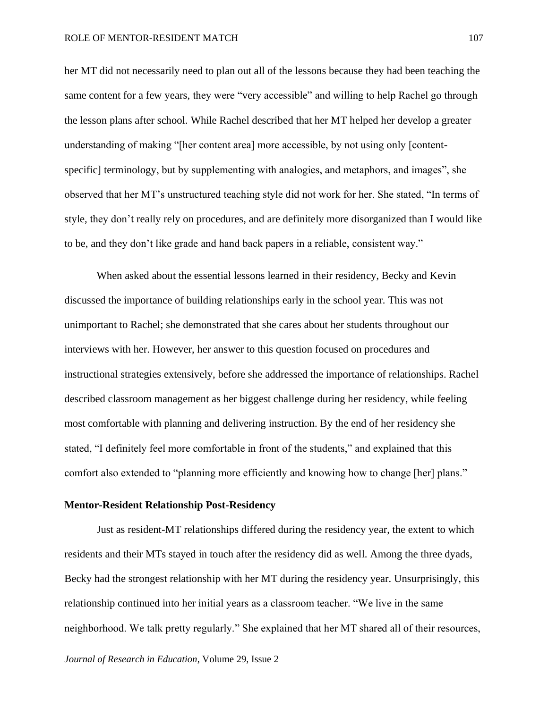her MT did not necessarily need to plan out all of the lessons because they had been teaching the same content for a few years, they were "very accessible" and willing to help Rachel go through the lesson plans after school. While Rachel described that her MT helped her develop a greater understanding of making "[her content area] more accessible, by not using only [contentspecific] terminology, but by supplementing with analogies, and metaphors, and images", she observed that her MT's unstructured teaching style did not work for her. She stated, "In terms of style, they don't really rely on procedures, and are definitely more disorganized than I would like to be, and they don't like grade and hand back papers in a reliable, consistent way."

When asked about the essential lessons learned in their residency, Becky and Kevin discussed the importance of building relationships early in the school year. This was not unimportant to Rachel; she demonstrated that she cares about her students throughout our interviews with her. However, her answer to this question focused on procedures and instructional strategies extensively, before she addressed the importance of relationships. Rachel described classroom management as her biggest challenge during her residency, while feeling most comfortable with planning and delivering instruction. By the end of her residency she stated, "I definitely feel more comfortable in front of the students," and explained that this comfort also extended to "planning more efficiently and knowing how to change [her] plans."

#### **Mentor-Resident Relationship Post-Residency**

Just as resident-MT relationships differed during the residency year, the extent to which residents and their MTs stayed in touch after the residency did as well. Among the three dyads, Becky had the strongest relationship with her MT during the residency year. Unsurprisingly, this relationship continued into her initial years as a classroom teacher. "We live in the same neighborhood. We talk pretty regularly." She explained that her MT shared all of their resources,

*Journal of Research in Education*, Volume 29, Issue 2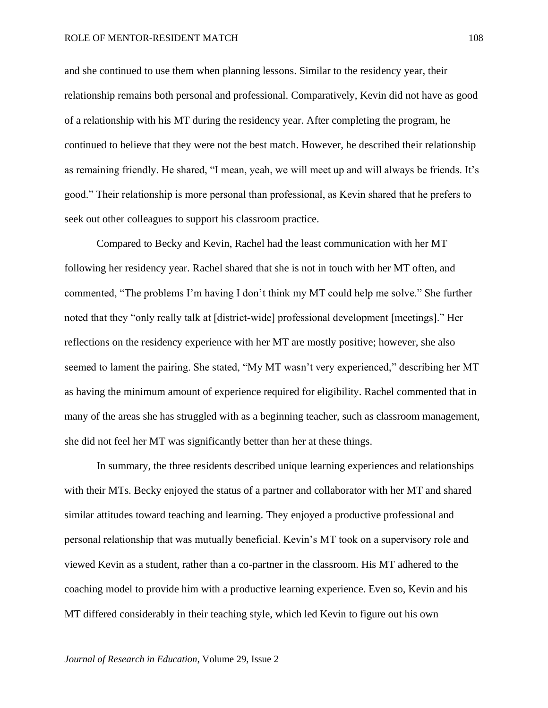and she continued to use them when planning lessons. Similar to the residency year, their relationship remains both personal and professional. Comparatively, Kevin did not have as good of a relationship with his MT during the residency year. After completing the program, he continued to believe that they were not the best match. However, he described their relationship as remaining friendly. He shared, "I mean, yeah, we will meet up and will always be friends. It's good." Their relationship is more personal than professional, as Kevin shared that he prefers to seek out other colleagues to support his classroom practice.

Compared to Becky and Kevin, Rachel had the least communication with her MT following her residency year. Rachel shared that she is not in touch with her MT often, and commented, "The problems I'm having I don't think my MT could help me solve." She further noted that they "only really talk at [district-wide] professional development [meetings]." Her reflections on the residency experience with her MT are mostly positive; however, she also seemed to lament the pairing. She stated, "My MT wasn't very experienced," describing her MT as having the minimum amount of experience required for eligibility. Rachel commented that in many of the areas she has struggled with as a beginning teacher, such as classroom management, she did not feel her MT was significantly better than her at these things.

In summary, the three residents described unique learning experiences and relationships with their MTs. Becky enjoyed the status of a partner and collaborator with her MT and shared similar attitudes toward teaching and learning. They enjoyed a productive professional and personal relationship that was mutually beneficial. Kevin's MT took on a supervisory role and viewed Kevin as a student, rather than a co-partner in the classroom. His MT adhered to the coaching model to provide him with a productive learning experience. Even so, Kevin and his MT differed considerably in their teaching style, which led Kevin to figure out his own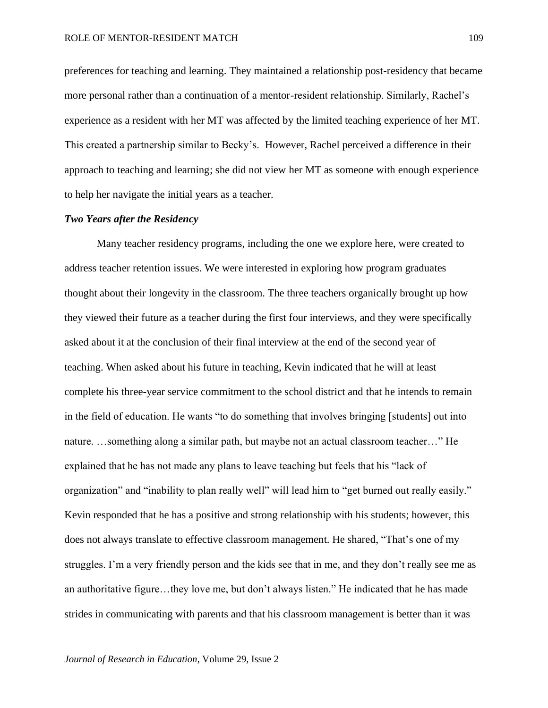preferences for teaching and learning. They maintained a relationship post-residency that became more personal rather than a continuation of a mentor-resident relationship. Similarly, Rachel's experience as a resident with her MT was affected by the limited teaching experience of her MT. This created a partnership similar to Becky's. However, Rachel perceived a difference in their approach to teaching and learning; she did not view her MT as someone with enough experience to help her navigate the initial years as a teacher.

### *Two Years after the Residency*

Many teacher residency programs, including the one we explore here, were created to address teacher retention issues. We were interested in exploring how program graduates thought about their longevity in the classroom. The three teachers organically brought up how they viewed their future as a teacher during the first four interviews, and they were specifically asked about it at the conclusion of their final interview at the end of the second year of teaching. When asked about his future in teaching, Kevin indicated that he will at least complete his three-year service commitment to the school district and that he intends to remain in the field of education. He wants "to do something that involves bringing [students] out into nature. …something along a similar path, but maybe not an actual classroom teacher…" He explained that he has not made any plans to leave teaching but feels that his "lack of organization" and "inability to plan really well" will lead him to "get burned out really easily." Kevin responded that he has a positive and strong relationship with his students; however, this does not always translate to effective classroom management. He shared, "That's one of my struggles. I'm a very friendly person and the kids see that in me, and they don't really see me as an authoritative figure…they love me, but don't always listen." He indicated that he has made strides in communicating with parents and that his classroom management is better than it was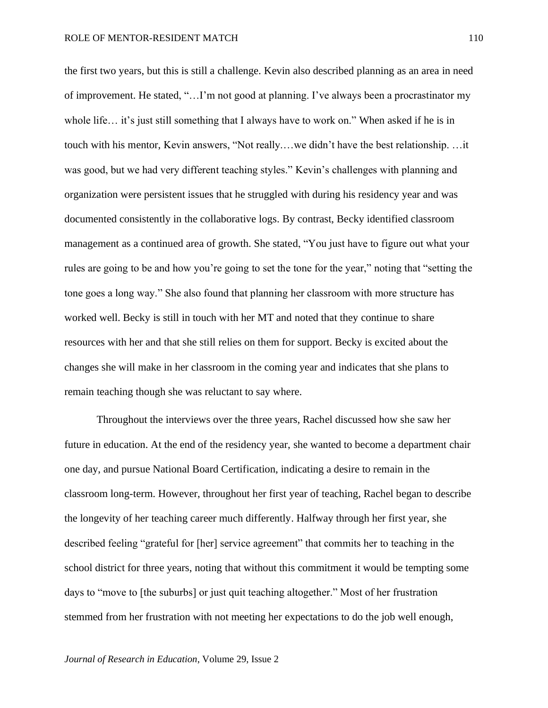the first two years, but this is still a challenge. Kevin also described planning as an area in need of improvement. He stated, "…I'm not good at planning. I've always been a procrastinator my whole life… it's just still something that I always have to work on." When asked if he is in touch with his mentor, Kevin answers, "Not really.…we didn't have the best relationship. …it was good, but we had very different teaching styles." Kevin's challenges with planning and organization were persistent issues that he struggled with during his residency year and was documented consistently in the collaborative logs. By contrast, Becky identified classroom management as a continued area of growth. She stated, "You just have to figure out what your rules are going to be and how you're going to set the tone for the year," noting that "setting the tone goes a long way." She also found that planning her classroom with more structure has worked well. Becky is still in touch with her MT and noted that they continue to share resources with her and that she still relies on them for support. Becky is excited about the changes she will make in her classroom in the coming year and indicates that she plans to remain teaching though she was reluctant to say where.

Throughout the interviews over the three years, Rachel discussed how she saw her future in education. At the end of the residency year, she wanted to become a department chair one day, and pursue National Board Certification, indicating a desire to remain in the classroom long-term. However, throughout her first year of teaching, Rachel began to describe the longevity of her teaching career much differently. Halfway through her first year, she described feeling "grateful for [her] service agreement" that commits her to teaching in the school district for three years, noting that without this commitment it would be tempting some days to "move to [the suburbs] or just quit teaching altogether." Most of her frustration stemmed from her frustration with not meeting her expectations to do the job well enough,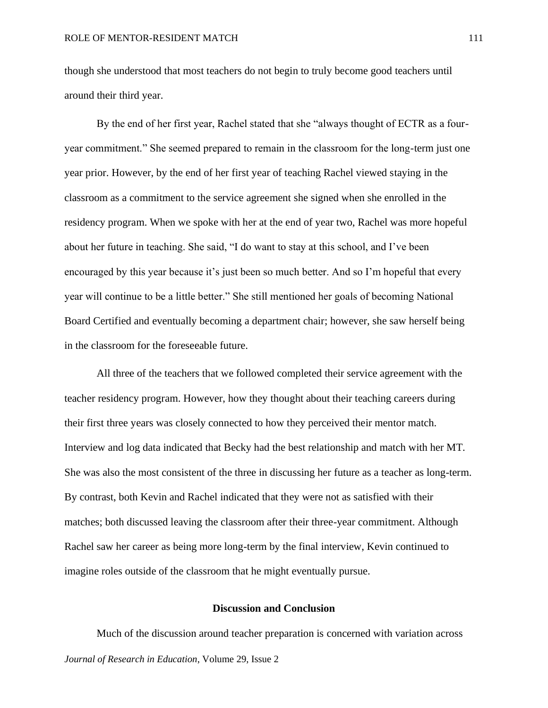though she understood that most teachers do not begin to truly become good teachers until around their third year.

By the end of her first year, Rachel stated that she "always thought of ECTR as a fouryear commitment." She seemed prepared to remain in the classroom for the long-term just one year prior. However, by the end of her first year of teaching Rachel viewed staying in the classroom as a commitment to the service agreement she signed when she enrolled in the residency program. When we spoke with her at the end of year two, Rachel was more hopeful about her future in teaching. She said, "I do want to stay at this school, and I've been encouraged by this year because it's just been so much better. And so I'm hopeful that every year will continue to be a little better." She still mentioned her goals of becoming National Board Certified and eventually becoming a department chair; however, she saw herself being in the classroom for the foreseeable future.

All three of the teachers that we followed completed their service agreement with the teacher residency program. However, how they thought about their teaching careers during their first three years was closely connected to how they perceived their mentor match. Interview and log data indicated that Becky had the best relationship and match with her MT. She was also the most consistent of the three in discussing her future as a teacher as long-term. By contrast, both Kevin and Rachel indicated that they were not as satisfied with their matches; both discussed leaving the classroom after their three-year commitment. Although Rachel saw her career as being more long-term by the final interview, Kevin continued to imagine roles outside of the classroom that he might eventually pursue.

### **Discussion and Conclusion**

*Journal of Research in Education*, Volume 29, Issue 2 Much of the discussion around teacher preparation is concerned with variation across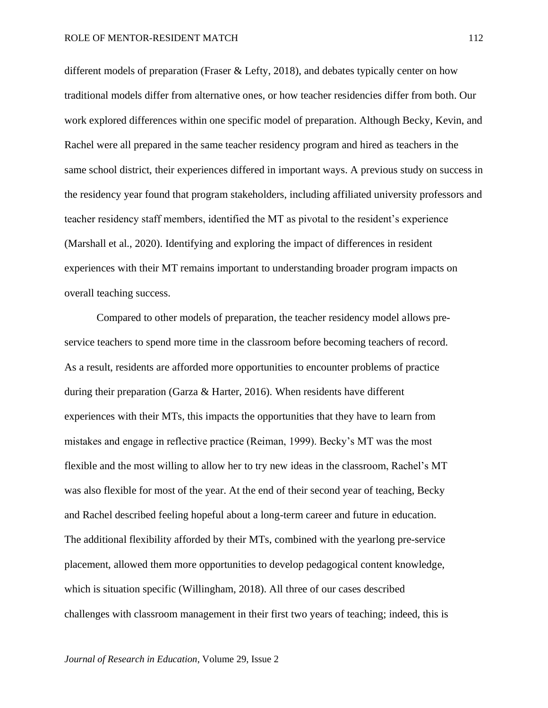different models of preparation (Fraser & Lefty, 2018), and debates typically center on how traditional models differ from alternative ones, or how teacher residencies differ from both. Our work explored differences within one specific model of preparation. Although Becky, Kevin, and Rachel were all prepared in the same teacher residency program and hired as teachers in the same school district, their experiences differed in important ways. A previous study on success in the residency year found that program stakeholders, including affiliated university professors and teacher residency staff members, identified the MT as pivotal to the resident's experience (Marshall et al., 2020). Identifying and exploring the impact of differences in resident experiences with their MT remains important to understanding broader program impacts on overall teaching success.

Compared to other models of preparation, the teacher residency model allows preservice teachers to spend more time in the classroom before becoming teachers of record. As a result, residents are afforded more opportunities to encounter problems of practice during their preparation (Garza & Harter, 2016). When residents have different experiences with their MTs, this impacts the opportunities that they have to learn from mistakes and engage in reflective practice (Reiman, 1999). Becky's MT was the most flexible and the most willing to allow her to try new ideas in the classroom, Rachel's MT was also flexible for most of the year. At the end of their second year of teaching, Becky and Rachel described feeling hopeful about a long-term career and future in education. The additional flexibility afforded by their MTs, combined with the yearlong pre-service placement, allowed them more opportunities to develop pedagogical content knowledge, which is situation specific (Willingham, 2018). All three of our cases described challenges with classroom management in their first two years of teaching; indeed, this is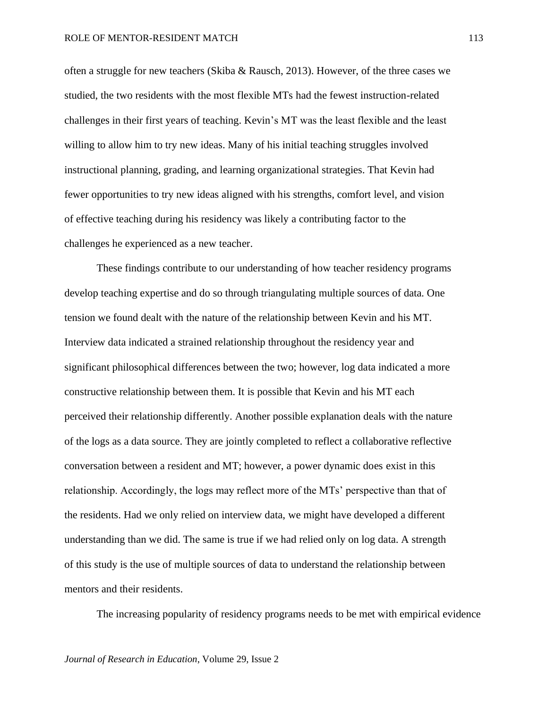often a struggle for new teachers (Skiba & Rausch, 2013). However, of the three cases we studied, the two residents with the most flexible MTs had the fewest instruction-related challenges in their first years of teaching. Kevin's MT was the least flexible and the least willing to allow him to try new ideas. Many of his initial teaching struggles involved instructional planning, grading, and learning organizational strategies. That Kevin had fewer opportunities to try new ideas aligned with his strengths, comfort level, and vision of effective teaching during his residency was likely a contributing factor to the challenges he experienced as a new teacher.

These findings contribute to our understanding of how teacher residency programs develop teaching expertise and do so through triangulating multiple sources of data. One tension we found dealt with the nature of the relationship between Kevin and his MT. Interview data indicated a strained relationship throughout the residency year and significant philosophical differences between the two; however, log data indicated a more constructive relationship between them. It is possible that Kevin and his MT each perceived their relationship differently. Another possible explanation deals with the nature of the logs as a data source. They are jointly completed to reflect a collaborative reflective conversation between a resident and MT; however, a power dynamic does exist in this relationship. Accordingly, the logs may reflect more of the MTs' perspective than that of the residents. Had we only relied on interview data, we might have developed a different understanding than we did. The same is true if we had relied only on log data. A strength of this study is the use of multiple sources of data to understand the relationship between mentors and their residents.

The increasing popularity of residency programs needs to be met with empirical evidence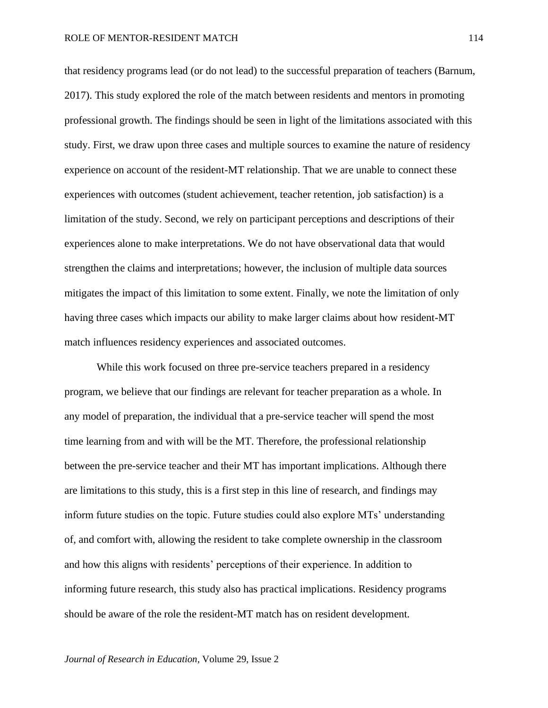that residency programs lead (or do not lead) to the successful preparation of teachers (Barnum, 2017). This study explored the role of the match between residents and mentors in promoting professional growth. The findings should be seen in light of the limitations associated with this study. First, we draw upon three cases and multiple sources to examine the nature of residency experience on account of the resident-MT relationship. That we are unable to connect these experiences with outcomes (student achievement, teacher retention, job satisfaction) is a limitation of the study. Second, we rely on participant perceptions and descriptions of their experiences alone to make interpretations. We do not have observational data that would strengthen the claims and interpretations; however, the inclusion of multiple data sources mitigates the impact of this limitation to some extent. Finally, we note the limitation of only having three cases which impacts our ability to make larger claims about how resident-MT match influences residency experiences and associated outcomes.

While this work focused on three pre-service teachers prepared in a residency program, we believe that our findings are relevant for teacher preparation as a whole. In any model of preparation, the individual that a pre-service teacher will spend the most time learning from and with will be the MT. Therefore, the professional relationship between the pre-service teacher and their MT has important implications. Although there are limitations to this study, this is a first step in this line of research, and findings may inform future studies on the topic. Future studies could also explore MTs' understanding of, and comfort with, allowing the resident to take complete ownership in the classroom and how this aligns with residents' perceptions of their experience. In addition to informing future research, this study also has practical implications. Residency programs should be aware of the role the resident-MT match has on resident development.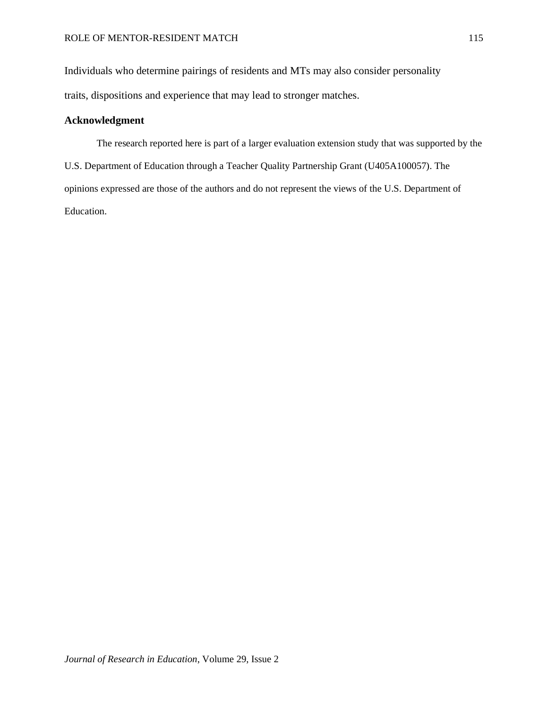Individuals who determine pairings of residents and MTs may also consider personality traits, dispositions and experience that may lead to stronger matches.

## **Acknowledgment**

The research reported here is part of a larger evaluation extension study that was supported by the U.S. Department of Education through a Teacher Quality Partnership Grant (U405A100057). The opinions expressed are those of the authors and do not represent the views of the U.S. Department of Education.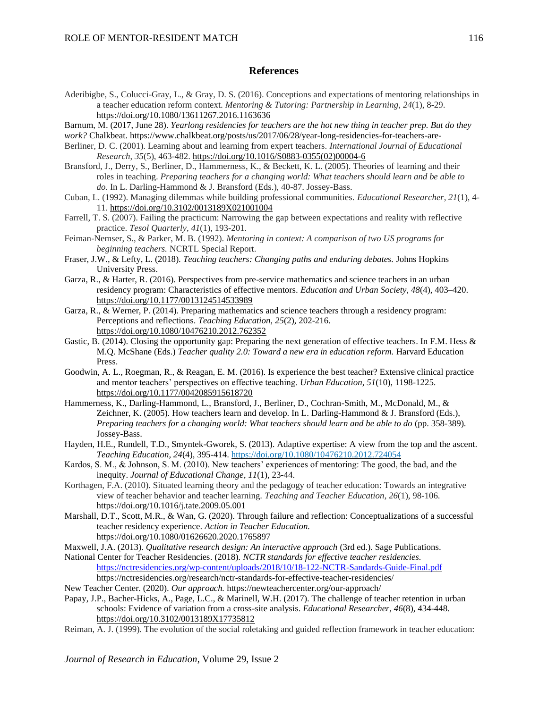#### **References**

- Aderibigbe, S., Colucci-Gray, L., & Gray, D. S. (2016). Conceptions and expectations of mentoring relationships in a teacher education reform context. *Mentoring & Tutoring: Partnership in Learning*, *24*(1), 8-29. https://doi.org/10.1080/13611267.2016.1163636
- Barnum, M. (2017, June 28). *Yearlong residencies for teachers are the hot new thing in teacher prep. But do they*
- *work?* Chalkbeat. https:/[/www.chalkbeat.org/posts/us/2017/06/28/year-long-residencies-for-teachers-are-](http://www.chalkbeat.org/posts/us/2017/06/28/year-long-residencies-for-teachers-are-)
- Berliner, D. C. (2001). Learning about and learning from expert teachers. *International Journal of Educational Research*, *35*(5), 463-482. [https://doi.org/10.1016/S0883-0355\(02\)00004-6](https://doi.org/10.1016/S0883-0355(02)00004-6)
- Bransford, J., Derry, S., Berliner, D., Hammerness, K., & Beckett, K. L. (2005). Theories of learning and their roles in teaching. *Preparing teachers for a changing world: What teachers should learn and be able to do*. In L. Darling-Hammond & J. Bransford (Eds.), 40-87. Jossey-Bass.
- Cuban, L. (1992). Managing dilemmas while building professional communities. *Educational Researcher*, *21*(1), 4- 11. [https://doi.org/10.3102/0013189X021001004](https://doi.org/10.3102%2F0013189X021001004)
- Farrell, T. S. (2007). Failing the practicum: Narrowing the gap between expectations and reality with reflective practice. *Tesol Quarterly*, *41*(1), 193-201.
- Feiman-Nemser, S., & Parker, M. B. (1992). *Mentoring in context: A comparison of two US programs for beginning teachers.* NCRTL Special Report.
- Fraser, J.W., & Lefty, L. (2018). *Teaching teachers: Changing paths and enduring debates.* Johns Hopkins University Press.
- Garza, R., & Harter, R. (2016). Perspectives from pre-service mathematics and science teachers in an urban residency program: Characteristics of effective mentors. *Education and Urban Society, 48*(4), 403–420. [https://doi.org/10.1177/0013124514533989](https://doi.org/10.1177%2F0013124514533989)
- Garza, R., & Werner, P. (2014). Preparing mathematics and science teachers through a residency program: Perceptions and reflections. *Teaching Education, 25*(2), 202-216. <https://doi.org/10.1080/10476210.2012.762352>
- Gastic, B. (2014). Closing the opportunity gap: Preparing the next generation of effective teachers. In F.M. Hess & M.Q. McShane (Eds.) *Teacher quality 2.0: Toward a new era in education reform*. Harvard Education Press.
- Goodwin, A. L., Roegman, R., & Reagan, E. M. (2016). Is experience the best teacher? Extensive clinical practice and mentor teachers' perspectives on effective teaching. *Urban Education*, *51*(10), 1198-1225. [https://doi.org/10.1177/0042085915618720](https://doi.org/10.1177%2F0042085915618720)
- Hammerness, K., Darling-Hammond, L., Bransford, J., Berliner, D., Cochran-Smith, M., McDonald, M., & Zeichner, K. (2005). How teachers learn and develop. In L. Darling-Hammond & J. Bransford (Eds.), *Preparing teachers for a changing world: What teachers should learn and be able to do* (pp. 358-389). Jossey-Bass.
- Hayden, H.E., Rundell, T.D., Smyntek-Gworek, S. (2013). Adaptive expertise: A view from the top and the ascent. *Teaching Education, 24*(4), 395-414. <https://doi.org/10.1080/10476210.2012.724054>
- Kardos, S. M., & Johnson, S. M. (2010). New teachers' experiences of mentoring: The good, the bad, and the inequity. *Journal of Educational Change*, *11*(1), 23-44.
- Korthagen, F.A. (2010). Situated learning theory and the pedagogy of teacher education: Towards an integrative view of teacher behavior and teacher learning. *Teaching and Teacher Education*, *26*(1), 98-106. <https://doi.org/10.1016/j.tate.2009.05.001>
- Marshall, D.T., Scott, M.R., & Wan, G. (2020). Through failure and reflection: Conceptualizations of a successful teacher residency experience. *Action in Teacher Education.*  https://doi.org/10.1080/01626620.2020.1765897
- Maxwell, J.A. (2013). *Qualitative research design: An interactive approach* (3rd ed.). Sage Publications.
- National Center for Teacher Residencies. (2018). *NCTR standards for effective teacher residencies.*  <https://nctresidencies.org/wp-content/uploads/2018/10/18-122-NCTR-Sandards-Guide-Final.pdf> https://nctresidencies.org/research/nctr-standards-for-effective-teacher-residencies/

New Teacher Center. (2020). *Our approach.* https://newteachercenter.org/our-approach/

- Papay, J.P., Bacher-Hicks, A., Page, L.C., & Marinell, W.H. (2017). The challenge of teacher retention in urban schools: Evidence of variation from a cross-site analysis. *Educational Researcher, 46*(8), 434-448. [https://doi.org/10.3102/0013189X17735812](https://doi.org/10.3102%2F0013189X17735812)
- Reiman, A. J. (1999). The evolution of the social roletaking and guided reflection framework in teacher education:

*Journal of Research in Education*, Volume 29, Issue 2